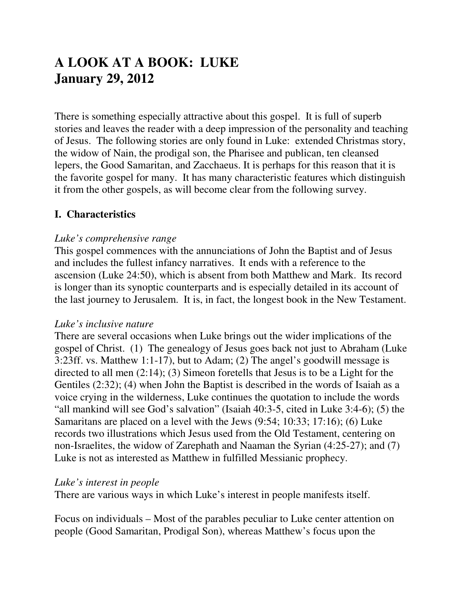# **A LOOK AT A BOOK: LUKE January 29, 2012**

There is something especially attractive about this gospel. It is full of superb stories and leaves the reader with a deep impression of the personality and teaching of Jesus. The following stories are only found in Luke: extended Christmas story, the widow of Nain, the prodigal son, the Pharisee and publican, ten cleansed lepers, the Good Samaritan, and Zacchaeus. It is perhaps for this reason that it is the favorite gospel for many. It has many characteristic features which distinguish it from the other gospels, as will become clear from the following survey.

## **I. Characteristics**

#### *Luke's comprehensive range*

This gospel commences with the annunciations of John the Baptist and of Jesus and includes the fullest infancy narratives. It ends with a reference to the ascension (Luke 24:50), which is absent from both Matthew and Mark. Its record is longer than its synoptic counterparts and is especially detailed in its account of the last journey to Jerusalem. It is, in fact, the longest book in the New Testament.

#### *Luke's inclusive nature*

There are several occasions when Luke brings out the wider implications of the gospel of Christ. (1) The genealogy of Jesus goes back not just to Abraham (Luke 3:23ff. vs. Matthew 1:1-17), but to Adam; (2) The angel's goodwill message is directed to all men (2:14); (3) Simeon foretells that Jesus is to be a Light for the Gentiles (2:32); (4) when John the Baptist is described in the words of Isaiah as a voice crying in the wilderness, Luke continues the quotation to include the words "all mankind will see God's salvation" (Isaiah 40:3-5, cited in Luke 3:4-6); (5) the Samaritans are placed on a level with the Jews (9:54; 10:33; 17:16); (6) Luke records two illustrations which Jesus used from the Old Testament, centering on non-Israelites, the widow of Zarephath and Naaman the Syrian (4:25-27); and (7) Luke is not as interested as Matthew in fulfilled Messianic prophecy.

#### *Luke's interest in people*

There are various ways in which Luke's interest in people manifests itself.

Focus on individuals – Most of the parables peculiar to Luke center attention on people (Good Samaritan, Prodigal Son), whereas Matthew's focus upon the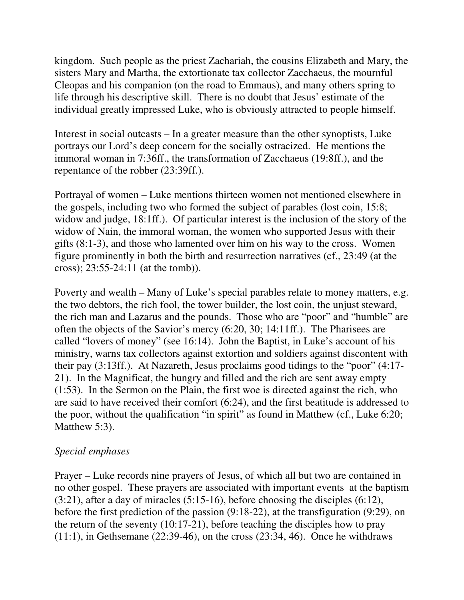kingdom. Such people as the priest Zachariah, the cousins Elizabeth and Mary, the sisters Mary and Martha, the extortionate tax collector Zacchaeus, the mournful Cleopas and his companion (on the road to Emmaus), and many others spring to life through his descriptive skill. There is no doubt that Jesus' estimate of the individual greatly impressed Luke, who is obviously attracted to people himself.

Interest in social outcasts – In a greater measure than the other synoptists, Luke portrays our Lord's deep concern for the socially ostracized. He mentions the immoral woman in 7:36ff., the transformation of Zacchaeus (19:8ff.), and the repentance of the robber (23:39ff.).

Portrayal of women – Luke mentions thirteen women not mentioned elsewhere in the gospels, including two who formed the subject of parables (lost coin, 15:8; widow and judge, 18:1ff.). Of particular interest is the inclusion of the story of the widow of Nain, the immoral woman, the women who supported Jesus with their gifts (8:1-3), and those who lamented over him on his way to the cross. Women figure prominently in both the birth and resurrection narratives (cf., 23:49 (at the cross); 23:55-24:11 (at the tomb)).

Poverty and wealth – Many of Luke's special parables relate to money matters, e.g. the two debtors, the rich fool, the tower builder, the lost coin, the unjust steward, the rich man and Lazarus and the pounds. Those who are "poor" and "humble" are often the objects of the Savior's mercy (6:20, 30; 14:11ff.). The Pharisees are called "lovers of money" (see 16:14). John the Baptist, in Luke's account of his ministry, warns tax collectors against extortion and soldiers against discontent with their pay (3:13ff.). At Nazareth, Jesus proclaims good tidings to the "poor" (4:17- 21). In the Magnificat, the hungry and filled and the rich are sent away empty (1:53). In the Sermon on the Plain, the first woe is directed against the rich, who are said to have received their comfort (6:24), and the first beatitude is addressed to the poor, without the qualification "in spirit" as found in Matthew (cf., Luke 6:20; Matthew 5:3).

## *Special emphases*

Prayer – Luke records nine prayers of Jesus, of which all but two are contained in no other gospel. These prayers are associated with important events at the baptism (3:21), after a day of miracles (5:15-16), before choosing the disciples (6:12), before the first prediction of the passion (9:18-22), at the transfiguration (9:29), on the return of the seventy (10:17-21), before teaching the disciples how to pray  $(11:1)$ , in Gethsemane  $(22:39-46)$ , on the cross  $(23:34, 46)$ . Once he withdraws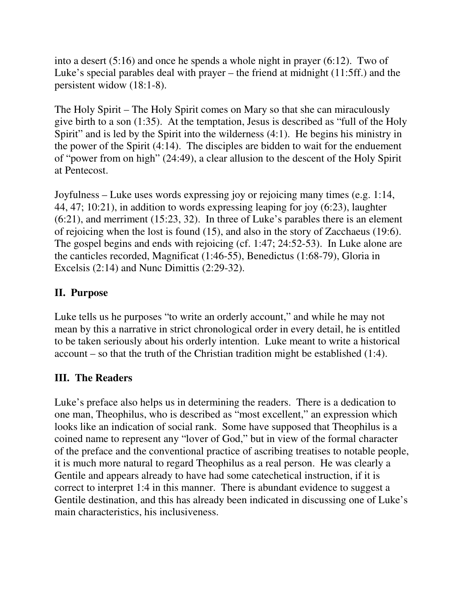into a desert (5:16) and once he spends a whole night in prayer (6:12). Two of Luke's special parables deal with prayer – the friend at midnight (11:5ff.) and the persistent widow (18:1-8).

The Holy Spirit – The Holy Spirit comes on Mary so that she can miraculously give birth to a son (1:35). At the temptation, Jesus is described as "full of the Holy Spirit" and is led by the Spirit into the wilderness (4:1). He begins his ministry in the power of the Spirit (4:14). The disciples are bidden to wait for the enduement of "power from on high" (24:49), a clear allusion to the descent of the Holy Spirit at Pentecost.

Joyfulness – Luke uses words expressing joy or rejoicing many times (e.g. 1:14, 44, 47; 10:21), in addition to words expressing leaping for joy (6:23), laughter (6:21), and merriment (15:23, 32). In three of Luke's parables there is an element of rejoicing when the lost is found (15), and also in the story of Zacchaeus (19:6). The gospel begins and ends with rejoicing (cf. 1:47; 24:52-53). In Luke alone are the canticles recorded, Magnificat (1:46-55), Benedictus (1:68-79), Gloria in Excelsis (2:14) and Nunc Dimittis (2:29-32).

# **II. Purpose**

Luke tells us he purposes "to write an orderly account," and while he may not mean by this a narrative in strict chronological order in every detail, he is entitled to be taken seriously about his orderly intention. Luke meant to write a historical account – so that the truth of the Christian tradition might be established (1:4).

## **III. The Readers**

Luke's preface also helps us in determining the readers. There is a dedication to one man, Theophilus, who is described as "most excellent," an expression which looks like an indication of social rank. Some have supposed that Theophilus is a coined name to represent any "lover of God," but in view of the formal character of the preface and the conventional practice of ascribing treatises to notable people, it is much more natural to regard Theophilus as a real person. He was clearly a Gentile and appears already to have had some catechetical instruction, if it is correct to interpret 1:4 in this manner. There is abundant evidence to suggest a Gentile destination, and this has already been indicated in discussing one of Luke's main characteristics, his inclusiveness.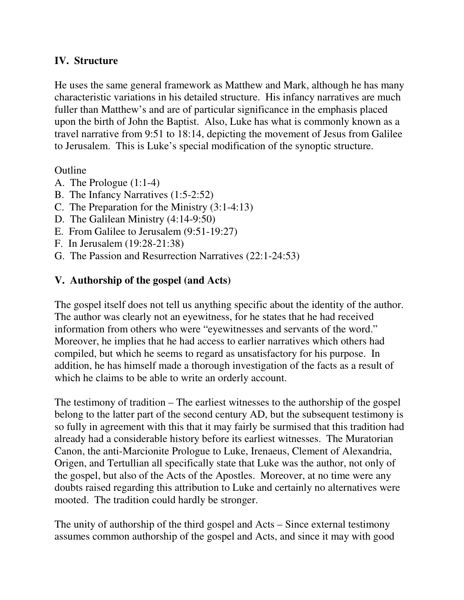#### **IV. Structure**

He uses the same general framework as Matthew and Mark, although he has many characteristic variations in his detailed structure. His infancy narratives are much fuller than Matthew's and are of particular significance in the emphasis placed upon the birth of John the Baptist. Also, Luke has what is commonly known as a travel narrative from 9:51 to 18:14, depicting the movement of Jesus from Galilee to Jerusalem. This is Luke's special modification of the synoptic structure.

#### Outline

- A. The Prologue (1:1-4)
- B. The Infancy Narratives (1:5-2:52)
- C. The Preparation for the Ministry (3:1-4:13)
- D. The Galilean Ministry (4:14-9:50)
- E. From Galilee to Jerusalem (9:51-19:27)
- F. In Jerusalem (19:28-21:38)
- G. The Passion and Resurrection Narratives (22:1-24:53)

## **V. Authorship of the gospel (and Acts)**

The gospel itself does not tell us anything specific about the identity of the author. The author was clearly not an eyewitness, for he states that he had received information from others who were "eyewitnesses and servants of the word." Moreover, he implies that he had access to earlier narratives which others had compiled, but which he seems to regard as unsatisfactory for his purpose. In addition, he has himself made a thorough investigation of the facts as a result of which he claims to be able to write an orderly account.

The testimony of tradition – The earliest witnesses to the authorship of the gospel belong to the latter part of the second century AD, but the subsequent testimony is so fully in agreement with this that it may fairly be surmised that this tradition had already had a considerable history before its earliest witnesses. The Muratorian Canon, the anti-Marcionite Prologue to Luke, Irenaeus, Clement of Alexandria, Origen, and Tertullian all specifically state that Luke was the author, not only of the gospel, but also of the Acts of the Apostles. Moreover, at no time were any doubts raised regarding this attribution to Luke and certainly no alternatives were mooted. The tradition could hardly be stronger.

The unity of authorship of the third gospel and Acts – Since external testimony assumes common authorship of the gospel and Acts, and since it may with good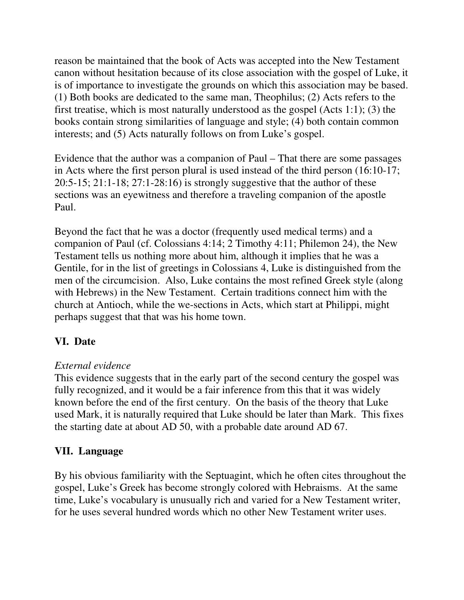reason be maintained that the book of Acts was accepted into the New Testament canon without hesitation because of its close association with the gospel of Luke, it is of importance to investigate the grounds on which this association may be based. (1) Both books are dedicated to the same man, Theophilus; (2) Acts refers to the first treatise, which is most naturally understood as the gospel (Acts 1:1); (3) the books contain strong similarities of language and style; (4) both contain common interests; and (5) Acts naturally follows on from Luke's gospel.

Evidence that the author was a companion of Paul – That there are some passages in Acts where the first person plural is used instead of the third person (16:10-17; 20:5-15; 21:1-18; 27:1-28:16) is strongly suggestive that the author of these sections was an eyewitness and therefore a traveling companion of the apostle Paul.

Beyond the fact that he was a doctor (frequently used medical terms) and a companion of Paul (cf. Colossians 4:14; 2 Timothy 4:11; Philemon 24), the New Testament tells us nothing more about him, although it implies that he was a Gentile, for in the list of greetings in Colossians 4, Luke is distinguished from the men of the circumcision. Also, Luke contains the most refined Greek style (along with Hebrews) in the New Testament. Certain traditions connect him with the church at Antioch, while the we-sections in Acts, which start at Philippi, might perhaps suggest that that was his home town.

# **VI. Date**

## *External evidence*

This evidence suggests that in the early part of the second century the gospel was fully recognized, and it would be a fair inference from this that it was widely known before the end of the first century. On the basis of the theory that Luke used Mark, it is naturally required that Luke should be later than Mark. This fixes the starting date at about AD 50, with a probable date around AD 67.

# **VII. Language**

By his obvious familiarity with the Septuagint, which he often cites throughout the gospel, Luke's Greek has become strongly colored with Hebraisms. At the same time, Luke's vocabulary is unusually rich and varied for a New Testament writer, for he uses several hundred words which no other New Testament writer uses.